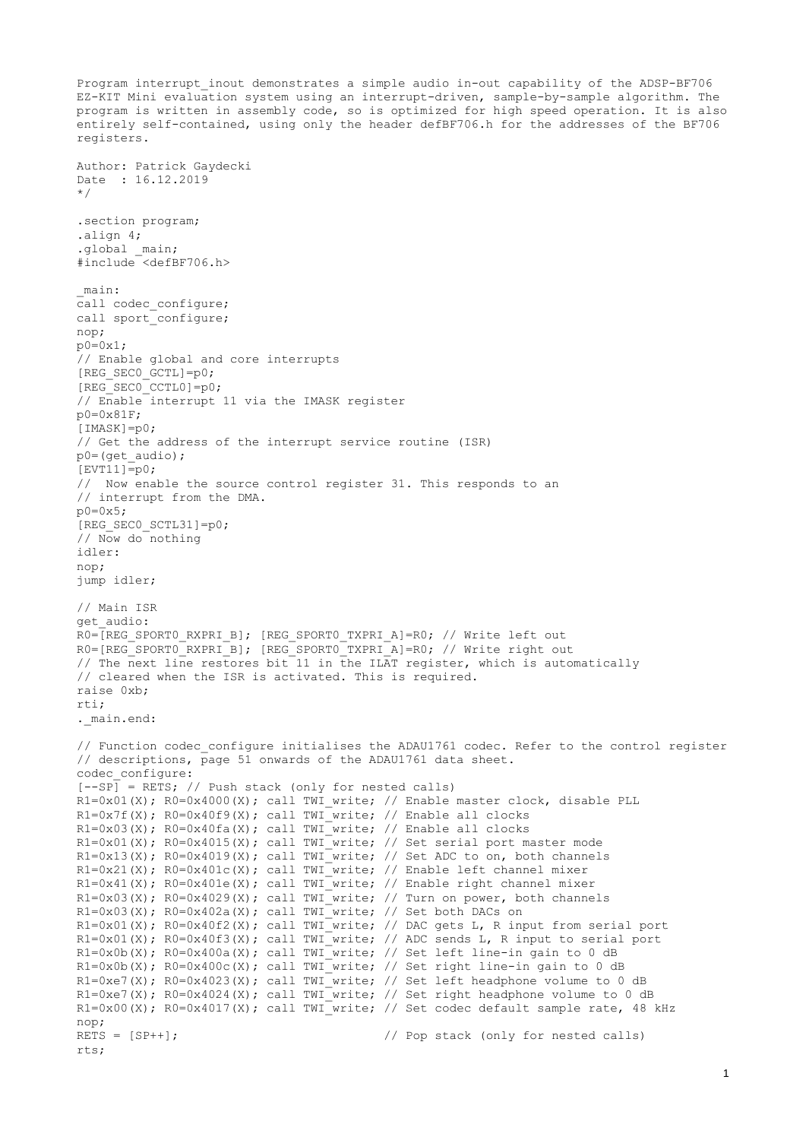Program interrupt inout demonstrates a simple audio in-out capability of the ADSP-BF706 EZ-KIT Mini evaluation system using an interrupt-driven, sample-by-sample algorithm. The program is written in assembly code, so is optimized for high speed operation. It is also entirely self-contained, using only the header defBF706.h for the addresses of the BF706 registers. Author: Patrick Gaydecki Date : 16.12.2019 \*/ .section program; .align 4; .global \_main; #include <defBF706.h> \_main: call codec configure; call sport configure; nop; p0=0x1; // Enable global and core interrupts [REG\_SEC0\_GCTL]=p0;  $[REG<sup>-</sup>SECO<sup>-</sup>CCTLO]=p0;$ // Enable interrupt 11 via the IMASK register p0=0x81F; [IMASK]=p0; // Get the address of the interrupt service routine (ISR) p0=(get\_audio);  $[EVT11]=p0;$ // Now enable the source control register 31. This responds to an // interrupt from the DMA. p0=0x5; [REG\_SEC0\_SCTL31]=p0; // Now do nothing idler: nop; jump idler; // Main ISR get\_audio: RO=[REG SPORT0 RXPRI B]; [REG SPORT0 TXPRI A]=R0; // Write left out R0=[REG\_SPORT0\_RXPRI\_B]; [REG\_SPORT0\_TXPRI\_A]=R0; // Write right out // The next line restores bit 11 in the ILAT register, which is automatically // cleared when the ISR is activated. This is required. raise 0xb; rti; . main.end: // Function codec configure initialises the ADAU1761 codec. Refer to the control register // descriptions, page 51 onwards of the ADAU1761 data sheet. codec\_configure:  $[--SP]$  = RETS; // Push stack (only for nested calls) R1=0x01(X); R0=0x4000(X); call TWI write; // Enable master clock, disable PLL  $R1=0x7f(X)$ ;  $R0=0x40f9(X)$ ; call TWI\_write; // Enable all clocks  $R1=0x03(X)$ ;  $R0=0x40fa(X)$ ; call TWI write; // Enable all clocks R1=0x01(X); R0=0x4015(X); call TWI write; // Set serial port master mode  $R1=0x13(X)$ ;  $R0=0x4019(X)$ ; call TWI<sup>\_w</sup>rite; // Set ADC to on, both channels  $R1=0x21(X)$ ;  $R0=0x401c(X)$ ; call TWI<sup>-</sup>write; // Enable left channel mixer R1=0x41(X); R0=0x401e(X); call TWI\_write; // Enable right channel mixer R1=0x03(X); R0=0x4029(X); call TWI write; // Turn on power, both channels  $R1=0x03(X)$ ;  $R0=0x402a(X)$ ; call TWI write; // Set both DACs on R1=0x01(X); R0=0x40f2(X); call TWI write; // DAC gets L, R input from serial port  $R1=0x01(X)$ ;  $R0=0x40f3(X)$ ; call TWI write; // ADC sends L, R input to serial port  $R1=0x0b(X)$ ;  $R0=0x400a(X)$ ; call TWI write; // Set left line-in gain to 0 dB  $R1=0x0b(X); R0=0x400c(X); call TWI_write; // Set right line-in gain to 0 dB$ R1=0xe7(X); R0=0x4023(X); call TWI write; // Set left headphone volume to 0 dB R1=0xe7(X); R0=0x4024(X); call TWI write; // Set right headphone volume to 0 dB  $R1=0x00(X); R0=0x4017(X);$  call TWI write; // Set codec default sample rate, 48 kHz nop; RETS = [SP++];  $\frac{1}{2}$  // Pop stack (only for nested calls) rts;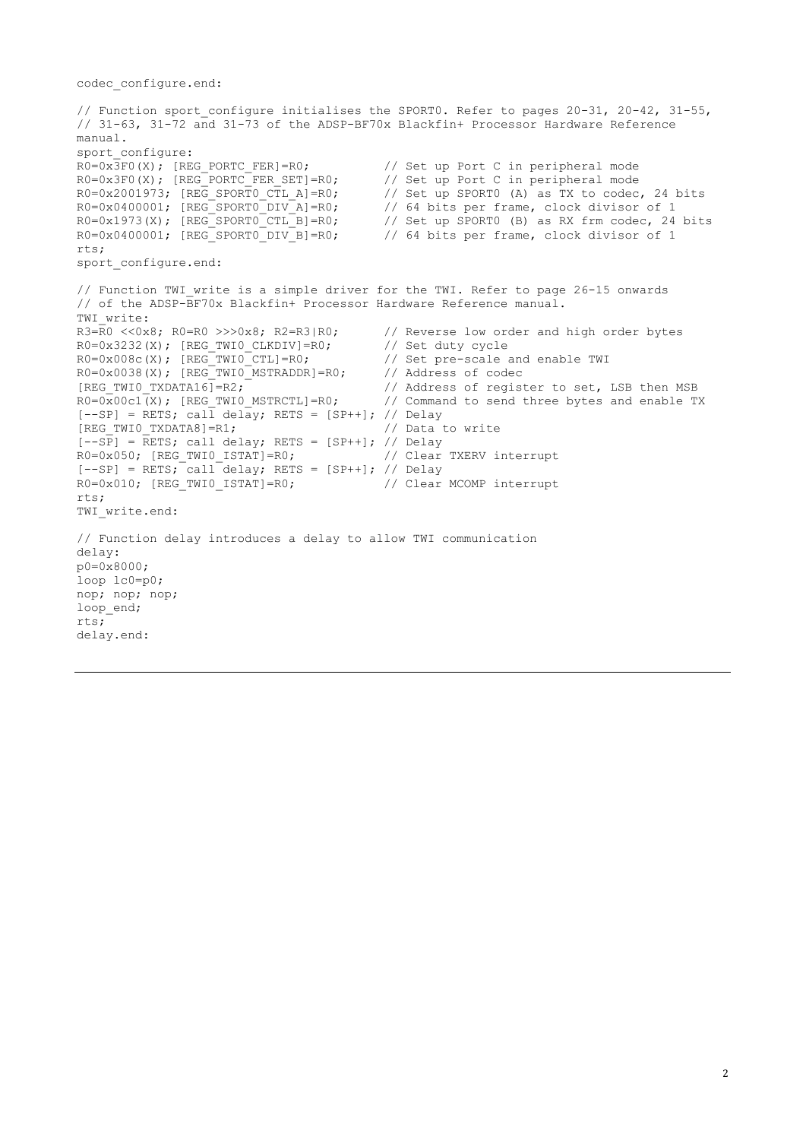codec\_configure.end:

// Function sport configure initialises the SPORT0. Refer to pages 20-31, 20-42, 31-55, // 31-63, 31-72 and 31-73 of the ADSP-BF70x Blackfin+ Processor Hardware Reference manual. sport\_configure:  $R0=0x\overline{3}F0(X)$ ; [REG\_PORTC\_FER]=R0; // Set up Port C in peripheral mode R0=0x3F0(X); [REG\_PORTC\_FER\_SET]=R0; // Set up Port C in peripheral mode  $R0=0x2001973$ ;  $[REG$  SPORTO CTL A]=R0; // Set up SPORTO (A) as TX to codec, 24 bits  $R0=0x0400001$ ;  $[REG\_SPORT0\_DIV_A]=R0$ ; // 64 bits per frame, clock divisor of 1<br> $R0=0x1973(X)$ ;  $[REG\_SPORT0\_CTL_B]=R0$ ; // Set up SPORT0 (B) as RX frm codec, 24<br> $R0=0x0400001$ ;  $[REG\_SPORT0\_DIV_B]=R0$ ; // 64 bits per frame, clock divisor of 1 R0=0x1973(X); [REG SPORT0 CTL B]=R0; // Set up SPORT0 (B) as RX frm codec, 24 bits R0=0x0400001; [REG SPORT0 DIV B]=R0; // 64 bits per frame, clock divisor of 1 rts; sport configure.end: // Function TWI write is a simple driver for the TWI. Refer to page 26-15 onwards // of the ADSP-BF70x Blackfin+ Processor Hardware Reference manual. TWI\_write:<br> $R3=R0 \leq 0 \times 8$ ;  $R0=R0 \geq 0 \times 8$ ;  $R2=R3/R0$ ; // Reverse low order and high order bytes R0=0x3232(X); [REG\_TWI0\_CLKDIV]=R0; // Set duty cycle  $R0=0x008c(X)$ ; [REG TWIO CTL]=R0;  $\frac{1}{2}$  // Set pre-scale and enable TWI  $R0=0x0038(X)$ ; [REG\_TWIO\_MSTRADDR]=R0; // Address of codec [REG\_TWIO\_TXDATA16]=R2;  $\frac{1}{1}$  // Address of register to set, LSB then MSB R0=0x00c1(X); [REG TWIO MSTRCTL]=R0; // Command to send three bytes and enable T // Command to send three bytes and enable TX  $[--SP] = \text{RETS}; \text{cal}\overline{1} \text{ delay}; \text{RETS} = [SP++]; // \text{Delay}$ [REG\_TWI0\_TXDATA8]=R1; // Data to write  $[-SP]$  = RETS; call delay; RETS = [SP++]; // Delay R0=0x050; [REG\_TWI0\_ISTAT]=R0; // Clear TXERV interrupt  $[--SP]$  = RETS; call delay; RETS = [SP++]; // Delay  $R0=0 \times 010$ ; [REG\_TWI0\_ISTAT]=R0; // Clear MCOMP interrupt rts; TWI write.end: // Function delay introduces a delay to allow TWI communication delay: p0=0x8000; loop lc0=p0; nop; nop; nop; loop\_end; rts; delay.end: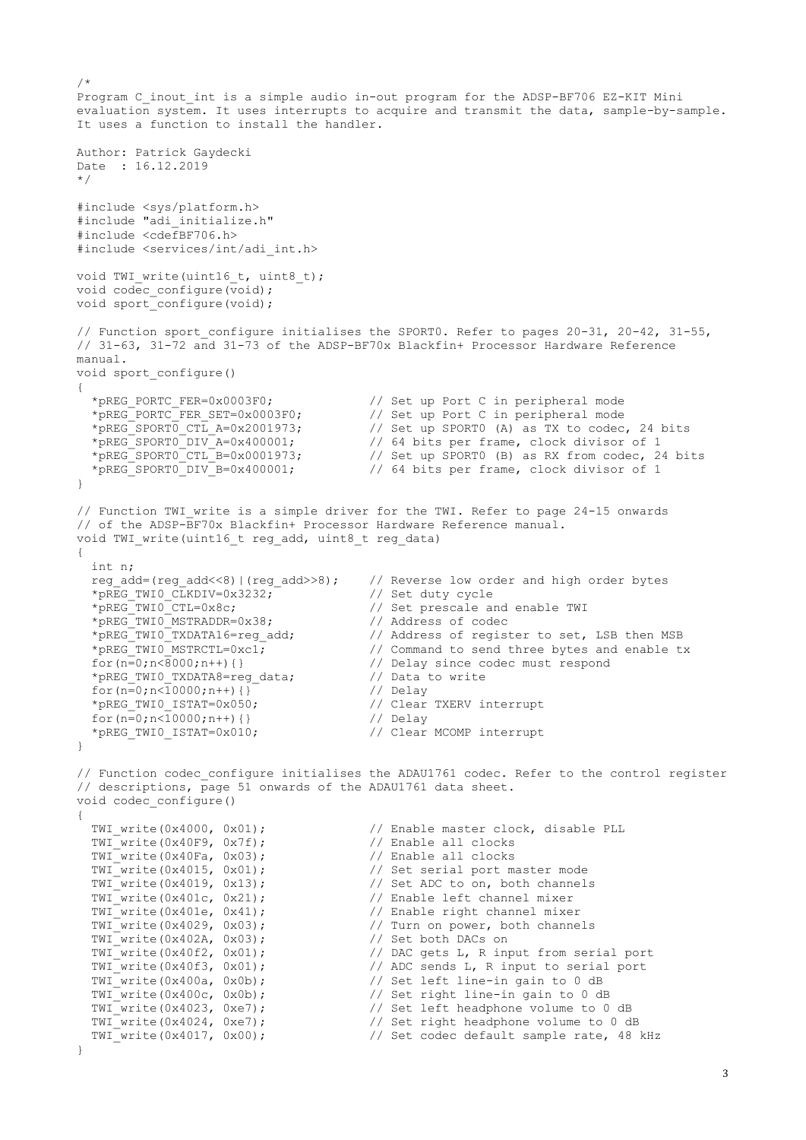/\* Program C inout int is a simple audio in-out program for the ADSP-BF706 EZ-KIT Mini evaluation system. It uses interrupts to acquire and transmit the data, sample-by-sample. It uses a function to install the handler. Author: Patrick Gaydecki Date : 16.12.2019 \*/ #include <sys/platform.h> #include "adi\_initialize.h" #include <cdefBF706.h> #include <services/int/adi\_int.h> void TWI write(uint16 t, uint8 t); void codec configure(void); void sport configure(void); // Function sport configure initialises the SPORT0. Refer to pages 20-31, 20-42, 31-55, // 31-63, 31-72 and 31-73 of the ADSP-BF70x Blackfin+ Processor Hardware Reference manual. void sport\_configure() { \*pREG\_PORTC\_FER=0x0003F0; // Set up Port C in peripheral mode \*pREG\_PORTC\_FER\_SET=0x0003F0;  $\frac{1}{2}$  // Set up Port C in peripheral mode \*pREG\_SPORT0\_CTL\_A=0x2001973; // Set up SPORT0 (A) as TX to codec, 24 bits  $*_{\text{pREG}}$ SPORTO\_DIV\_A=0x400001; // 64 bits per frame, clock divisor of 1<br>  $*_{\text{pREG}}$ SPORTO\_CTL\_B=0x0001973; // Set up SPORTO (B) as RX from codec, 24<br>  $*_{\text{pREG}}$ SPORTO\_DIV\_B=0x400001; // 64 bits per frame, clock divisor \*pREG\_SPORT0\_CTL\_B=0x0001973;  $\frac{1}{2}$  // Set up SPORT0 (B) as RX from codec, 24 bits \*pREG\_SPORT0\_DIV\_B=0x400001; // 64 bits per frame, clock divisor of 1 } // Function TWI write is a simple driver for the TWI. Refer to page 24-15 onwards // of the ADSP-BF70x Blackfin+ Processor Hardware Reference manual. void TWI write(uint16 t reg add, uint8 t reg data) { int n; reg\_add=(reg\_add<<8)|(reg\_add>>8); // Reverse low order and high order bytes  $*$ pREG\_TWI0\_CLKDIV=0x3232; % // Set duty cycle<br>// Set prescale and enable TWI<br>// Address of codec \*pREG\_TWI0\_CTL=0x8c;<br>\*pREG\_TWI0\_MSTRADDR=0x38;<br>\*pREG\_TWI0\_MSTRADDR=0x38;<br>\*pREG\_TWI0\_TXDATA16=reg\_add; // Address of register to set, LSB then MSB \*pREG\_TWI0\_MSTRCTL=0xc1;<br>for(n=0;n<8000;n++){}<br> $\frac{1}{\sqrt{2}}$  // Delay since codec must respond for the compounded bytes and<br>// Delay since codec must respond<br>// Data to write \*pREG\_TWI0\_TXDATA8=reg\_data;  $\begin{array}{c} \n\text{}/\text{Data} \\
\text{for } (n=0, n \times 10000; n++) {\} \n\end{array}$  for(n=0;n<10000;n++){} // Delay \*pREG\_TWI0\_ISTAT=0x050; // Clear TXERV interrupt for( $n=0; n<10000; n++)$  {} // Delay \*pREG\_TWI0\_ISTAT=0x010;  $\overline{}/$  Clear MCOMP interrupt } // Function codec configure initialises the ADAU1761 codec. Refer to the control register // descriptions, page 51 onwards of the ADAU1761 data sheet. void codec\_configure() { TWI\_write(0x4000, 0x01); // Enable master clock, disable PLL  $\text{TWI}^-$ write(0x40F9, 0x7f);  $\begin{array}{ccc} 7 & 7 & 7 \\ 7 & 7 & 7 \end{array}$  // Enable all clocks TWI $\bar{w}$ write(0x40Fa, 0x03);  $TWT_W$ rite(0x4015, 0x01);<br>  $TWT_W$ rite(0x4019, 0x13);<br>  $\frac{1}{2}$  // Set ADC to on, both channels // Set ADC to on, both channels TWI\_write(0x401c, 0x21); // Enable left channel mixer TWI\_write(0x401e, 0x41);  $\frac{1}{2}$  // Enable right channel mixer TWI write(0x4029, 0x03);  $\frac{1}{2}$  Turn on power, both channels TWI\_write(0x402A, 0x03); // Set both DACs on TWI\_write(0x40f2, 0x01);  $\sqrt{2}$  // DAC gets L, R input from serial port TWI\_write(0x40f3, 0x01);<br>
TWI\_write(0x400a, 0x0b);<br>
TWI\_write(0x400a, 0x0b);<br>
TWI\_write(0x400c, 0x0b);<br>
(/ Set right line-in gain to 0 dB TWI write(0x400a, 0x0b);  $\frac{1}{2}$  // Set left line-in gain to 0 dB TWI write( $0x400c$ ,  $0x0b$ ); // Set right line-in gain to 0 dB TWI write(0x4023, 0xe7);  $\frac{1}{2}$  // Set left headphone volume to 0 dB TWI write(0x4024, 0xe7);  $\frac{1}{2}$  // Set right headphone volume to 0 dB TWI write(0x4017, 0x00);  $\frac{1}{2}$  // Set codec default sample rate, 48 kHz }